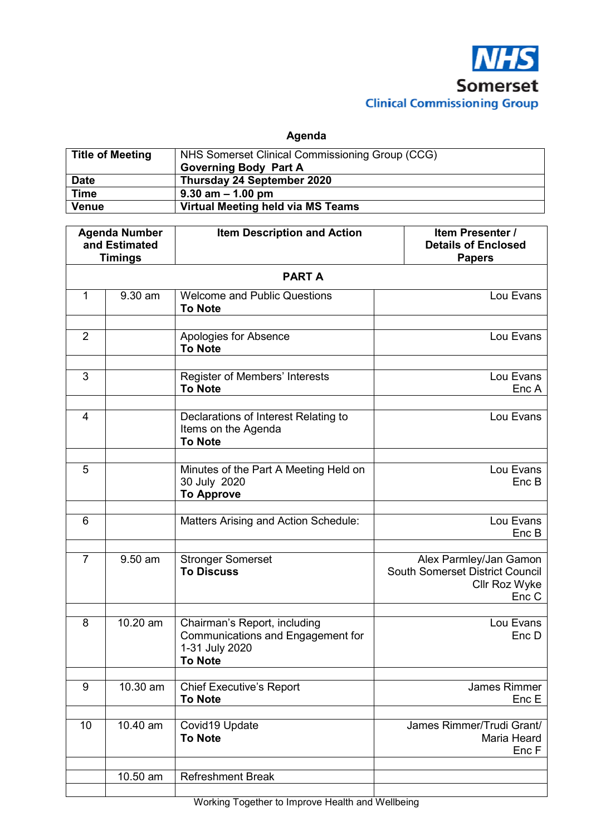

**Agenda** 

| <b>Title of Meeting</b> | NHS Somerset Clinical Commissioning Group (CCG)<br><b>Governing Body Part A</b> |
|-------------------------|---------------------------------------------------------------------------------|
| <b>Date</b>             | Thursday 24 September 2020                                                      |
| <b>Time</b>             | $9.30$ am $-1.00$ pm                                                            |
| <b>Venue</b>            | Virtual Meeting held via MS Teams                                               |

| <b>Agenda Number</b><br>and Estimated           |            | <b>Item Description and Action</b>                                                                    | Item Presenter /<br><b>Details of Enclosed</b>                                             |  |  |
|-------------------------------------------------|------------|-------------------------------------------------------------------------------------------------------|--------------------------------------------------------------------------------------------|--|--|
| <b>Timings</b><br><b>Papers</b><br><b>PARTA</b> |            |                                                                                                       |                                                                                            |  |  |
| 1                                               | 9.30 am    | <b>Welcome and Public Questions</b><br><b>To Note</b>                                                 | Lou Evans                                                                                  |  |  |
| $\overline{2}$                                  |            | <b>Apologies for Absence</b><br><b>To Note</b>                                                        | Lou Evans                                                                                  |  |  |
| 3                                               |            | Register of Members' Interests<br><b>To Note</b>                                                      | Lou Evans<br>Enc A                                                                         |  |  |
| $\overline{4}$                                  |            | Declarations of Interest Relating to<br>Items on the Agenda<br><b>To Note</b>                         | Lou Evans                                                                                  |  |  |
| 5                                               |            | Minutes of the Part A Meeting Held on<br>30 July 2020<br><b>To Approve</b>                            | Lou Evans<br>Enc B                                                                         |  |  |
| 6                                               |            | Matters Arising and Action Schedule:                                                                  | Lou Evans<br>Enc B                                                                         |  |  |
| $\overline{7}$                                  | 9.50 am    | <b>Stronger Somerset</b><br><b>To Discuss</b>                                                         | Alex Parmley/Jan Gamon<br><b>South Somerset District Council</b><br>Cllr Roz Wyke<br>Enc C |  |  |
| 8                                               | 10.20 am   | Chairman's Report, including<br>Communications and Engagement for<br>1-31 July 2020<br><b>To Note</b> | Lou Evans<br>Enc D                                                                         |  |  |
| 9                                               | 10.30 am   | <b>Chief Executive's Report</b><br><b>To Note</b>                                                     | <b>James Rimmer</b><br>Enc E                                                               |  |  |
| 10                                              | $10.40$ am | Covid19 Update<br><b>To Note</b>                                                                      | James Rimmer/Trudi Grant/<br>Maria Heard<br>Enc F                                          |  |  |
|                                                 | 10.50 am   | <b>Refreshment Break</b>                                                                              |                                                                                            |  |  |